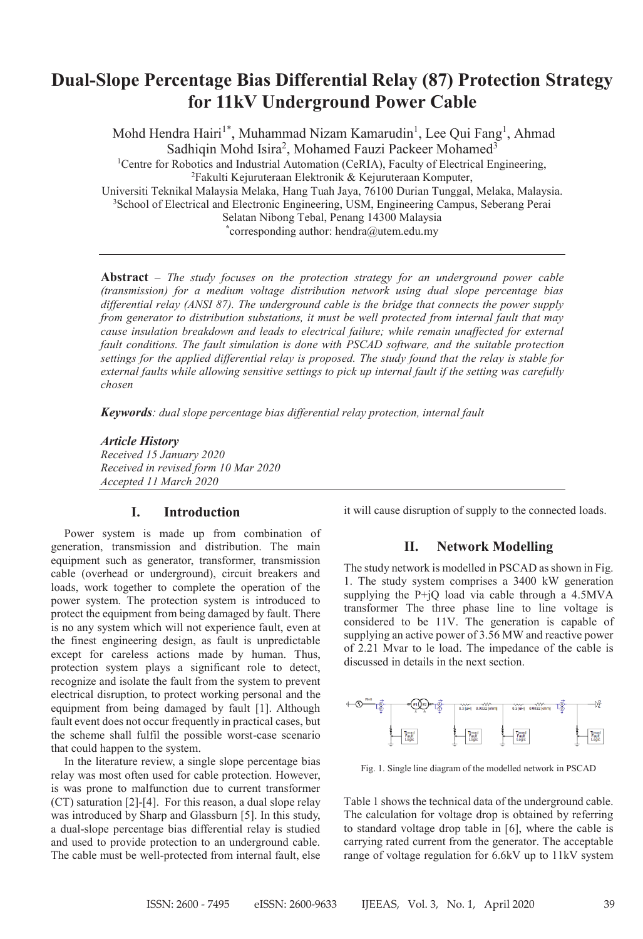# **Dual-Slope Percentage Bias Differential Relay (87) Protection Strategy for 11kV Underground Power Cable**

Mohd Hendra Hairi<sup>1\*</sup>, Muhammad Nizam Kamarudin<sup>1</sup>, Lee Qui Fang<sup>1</sup>, Ahmad Sadhiqin Mohd Isira<sup>2</sup>, Mohamed Fauzi Packeer Mohamed<sup>3</sup> <sup>1</sup>Centre for Robotics and Industrial Automation (CeRIA), Faculty of Electrical Engineering, 2 Fakulti Kejuruteraan Elektronik & Kejuruteraan Komputer, Universiti Teknikal Malaysia Melaka, Hang Tuah Jaya, 76100 Durian Tunggal, Melaka, Malaysia. <sup>3</sup>School of Electrical and Electronic Engineering, USM, Engineering Campus, Seberang Perai Selatan Nibong Tebal, Penang 14300 Malaysia **\*** corresponding author: hendra@utem.edu.my

**Abstract** – *The study focuses on the protection strategy for an underground power cable (transmission) for a medium voltage distribution network using dual slope percentage bias differential relay (ANSI 87). The underground cable is the bridge that connects the power supply from generator to distribution substations, it must be well protected from internal fault that may cause insulation breakdown and leads to electrical failure; while remain unaffected for external fault conditions. The fault simulation is done with PSCAD software, and the suitable protection settings for the applied differential relay is proposed. The study found that the relay is stable for external faults while allowing sensitive settings to pick up internal fault if the setting was carefully chosen*

*Keywords: dual slope percentage bias differential relay protection, internal fault*

*Article History Received 15 January 2020 Received in revised form 10 Mar 2020 Accepted 11 March 2020*

# **I. Introduction**

Power system is made up from combination of generation, transmission and distribution. The main equipment such as generator, transformer, transmission cable (overhead or underground), circuit breakers and loads, work together to complete the operation of the power system. The protection system is introduced to protect the equipment from being damaged by fault. There is no any system which will not experience fault, even at the finest engineering design, as fault is unpredictable except for careless actions made by human. Thus, protection system plays a significant role to detect, recognize and isolate the fault from the system to prevent electrical disruption, to protect working personal and the equipment from being damaged by fault [1]. Although fault event does not occur frequently in practical cases, but the scheme shall fulfil the possible worst-case scenario that could happen to the system.

In the literature review, a single slope percentage bias relay was most often used for cable protection. However, is was prone to malfunction due to current transformer (CT) saturation [2]-[4]. For this reason, a dual slope relay was introduced by Sharp and Glassburn [5]. In this study, a dual-slope percentage bias differential relay is studied and used to provide protection to an underground cable. The cable must be well-protected from internal fault, else it will cause disruption of supply to the connected loads.

# **II. Network Modelling**

The study network is modelled in PSCAD as shown in Fig. 1. The study system comprises a 3400 kW generation supplying the  $P+jQ$  load via cable through a 4.5MVA transformer The three phase line to line voltage is considered to be 11V. The generation is capable of supplying an active power of 3.56 MW and reactive power of 2.21 Mvar to le load. The impedance of the cable is discussed in details in the next section.



Fig. 1. Single line diagram of the modelled network in PSCAD

Table 1 shows the technical data of the underground cable. The calculation for voltage drop is obtained by referring to standard voltage drop table in [6], where the cable is carrying rated current from the generator. The acceptable range of voltage regulation for 6.6kV up to 11kV system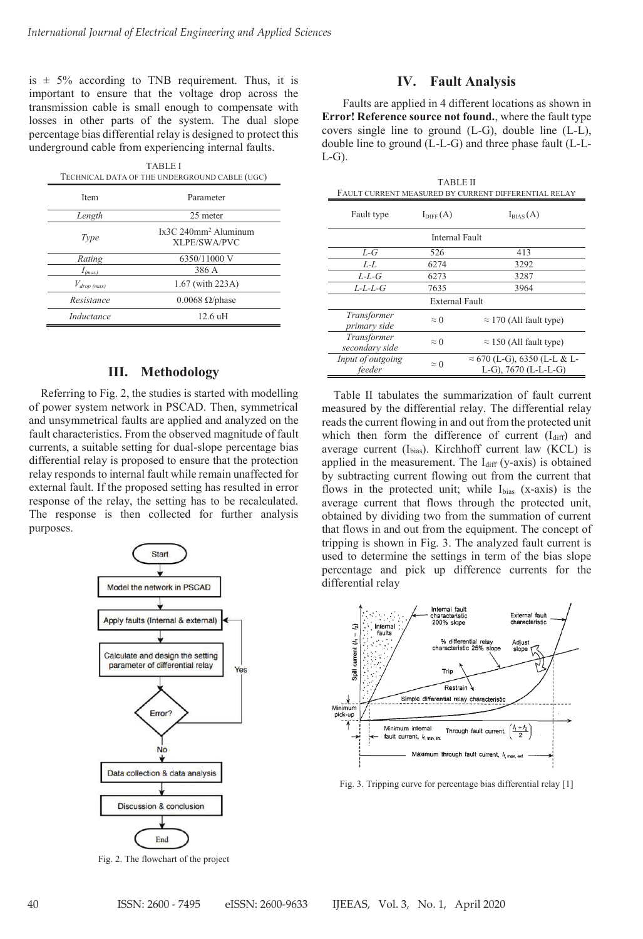is  $\pm$  5% according to TNB requirement. Thus, it is important to ensure that the voltage drop across the transmission cable is small enough to compensate with losses in other parts of the system. The dual slope percentage bias differential relay is designed to protect this underground cable from experiencing internal faults.

|                    | <b>TABLE I</b><br>TECHNICAL DATA OF THE UNDERGROUND CABLE (UGC) |
|--------------------|-----------------------------------------------------------------|
| Item               | Parameter                                                       |
| Length             | 25 meter                                                        |
| Type               | $Ix3C240mm2$ Aluminum<br>XLPE/SWA/PVC                           |
| Rating             | 6350/11000 V                                                    |
| $I_{(max)}$        | 386 A                                                           |
| $V_{drop \ (max)}$ | 1.67 (with 223A)                                                |
| Resistance         | $0.0068 \Omega$ /phase                                          |
| Inductance         | $12.6$ uH                                                       |

### **III. Methodology**

Referring to Fig. 2, the studies is started with modelling of power system network in PSCAD. Then, symmetrical and unsymmetrical faults are applied and analyzed on the fault characteristics. From the observed magnitude of fault currents, a suitable setting for dual-slope percentage bias differential relay is proposed to ensure that the protection relay responds to internal fault while remain unaffected for external fault. If the proposed setting has resulted in error response of the relay, the setting has to be recalculated. The response is then collected for further analysis purposes.



Fig. 2. The flowchart of the project

#### **IV. Fault Analysis**

Faults are applied in 4 different locations as shown in **Error! Reference source not found.**, where the fault type covers single line to ground (L-G), double line (L-L), double line to ground (L-L-G) and three phase fault (L-L- $L-G$ ).

|                               | <b>TABLE II</b>      | FAULT CURRENT MEASURED BY CURRENT DIFFERENTIAL RELAY        |
|-------------------------------|----------------------|-------------------------------------------------------------|
| Fault type                    | $I_{\text{DIFF}}(A)$ | $I_{BIAS}(A)$                                               |
|                               | Internal Fault       |                                                             |
| $L-G$                         | 526                  | 413                                                         |
| $L-L$                         | 6274                 | 3292                                                        |
| L-L-G                         | 6273                 | 3287                                                        |
| $L-L-L$                       | 7635                 | 3964                                                        |
|                               | External Fault       |                                                             |
| Transformer<br>primary side   | $\approx$ 0          | $\approx$ 170 (All fault type)                              |
| Transformer<br>secondary side | $\approx 0$          | $\approx$ 150 (All fault type)                              |
| Input of outgoing<br>feeder   | $\approx$ 0          | $\approx$ 670 (L-G), 6350 (L-L & L-<br>L-G), 7670 (L-L-L-G) |

Table II tabulates the summarization of fault current measured by the differential relay. The differential relay reads the current flowing in and out from the protected unit which then form the difference of current  $(I_{diff})$  and average current (Ibias). Kirchhoff current law (KCL) is applied in the measurement. The  $I_{diff}$  (y-axis) is obtained by subtracting current flowing out from the current that flows in the protected unit; while Ibias (x-axis) is the average current that flows through the protected unit, obtained by dividing two from the summation of current that flows in and out from the equipment. The concept of tripping is shown in Fig. 3. The analyzed fault current is used to determine the settings in term of the bias slope percentage and pick up difference currents for the differential relay



Fig. 3. Tripping curve for percentage bias differential relay [1]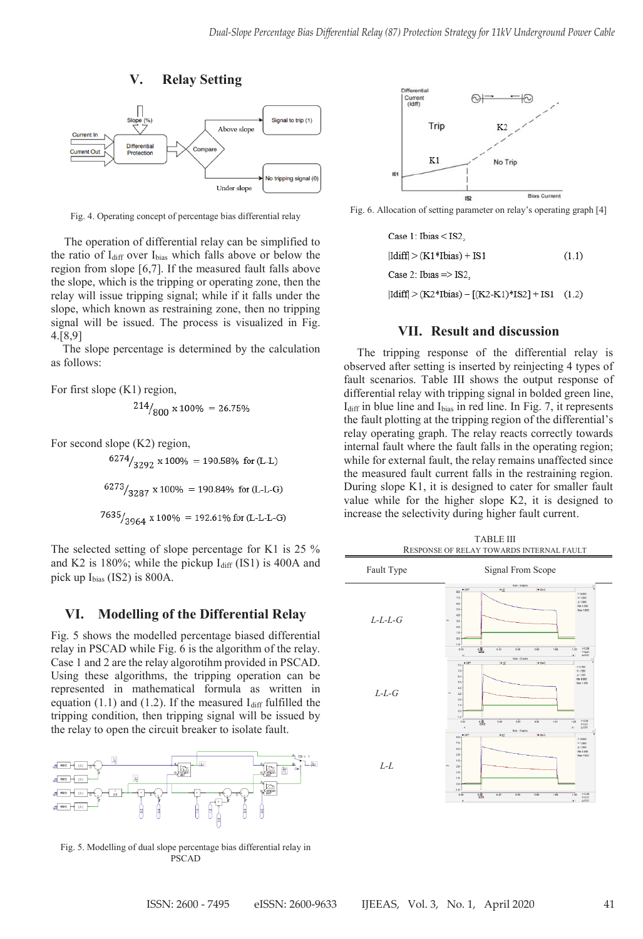

Fig. 4. Operating concept of percentage bias differential relay Fig. 4. Operating concept of percentage bias differential relay

The operation of differential relay can be simplified to the ratio of I<sub>diff</sub> over I<sub>bias</sub> which falls above or below the region from slope [6,7]. If the measured fault falls above the slope, which is the tripping or operating zone, then the relay will issue tripping signal; while if it falls under the slope, which known as restraining zone, then no tripping signal will be issued. The process is visualized in Fig. 4.[8,9]

The slope percentage is determined by the calculation as follows:

For first slope (K1) region,

$$
^{214}/_{800} \times 100\% = 26.75\%
$$

For second slope (K2) region,

 $6274/3292 \times 100\% = 190.58\%$  for (L-L)  $6273/3287$  x 100% = 190.84% for (L-L-G)  $7635/3964 \times 100\% = 192.61\%$  for (L-L-L-G)

The selected setting of slope percentage for K1 is 25 % and K2 is 180%; while the pickup  $I_{diff}$  (IS1) is 400A and pick up Ibias (IS2) is 800A.

# **VI. Modelling of the Differential Relay**

Fig. 5 shows the modelled percentage biased differential relay in PSCAD while Fig. 6 is the algorithm of the relay. Case 1 and 2 are the relay algorotihm provided in PSCAD. Using these algorithms, the tripping operation can be represented in mathematical formula as written in equation  $(1.1)$  and  $(1.2)$ . If the measured I<sub>diff</sub> fulfilled the tripping condition, then tripping signal will be issued by the relay to open the circuit breaker to isolate fault.



Fig. 5. Modelling of dual slope percentage bias differential relay in PSCAD



Fig. 6. Allocation of setting parameter on relay's operating graph [4]

Case 1: Ibias < IS2,  $|Idiff| > (K1*Ibias) + IS1$  $(1.1)$ Case 2: Ibias => IS2,  $|Idiff| > (K2*Ibias) - [(K2-K1)*IS2] + IS1$  (1.2)

# **VII. Result and discussion**

The tripping response of the differential relay is observed after setting is inserted by reinjecting 4 types of fault scenarios. Table III shows the output response of differential relay with tripping signal in bolded green line,  $I<sub>diff</sub>$  in blue line and  $I<sub>bias</sub>$  in red line. In Fig. 7, it represents the fault plotting at the tripping region of the differential's relay operating graph. The relay reacts correctly towards internal fault where the fault falls in the operating region; while for external fault, the relay remains unaffected since the measured fault current falls in the restraining region. During slope K1, it is designed to cater for smaller fault value while for the higher slope K2, it is designed to increase the selectivity during higher fault current. observed after setting is inserted by reinjecting 4 types of fault scenarios. Table III shows the output response of differential relay with tripping signal in bolded green line, I<sub>diff</sub> in blue line and I<sub>bias</sub> in red lin

| Fault Type | Signal From Scope                                                                                                                                                                                               |  |  |
|------------|-----------------------------------------------------------------------------------------------------------------------------------------------------------------------------------------------------------------|--|--|
|            | <b>Illam: Oraphs</b>                                                                                                                                                                                            |  |  |
| $L-L-L-G$  | ī<br>$-47$<br>$-0.05$<br>$-107$<br>80<br>$\times$ 0.000<br>70<br>0.1000<br>0.1,000<br>6.0<br><b>Min 0.000</b><br>5.0<br><b>Max 1,000</b><br>40<br>3.0<br>$20^{1}$<br>1.0<br>0.0                                 |  |  |
|            | $-1.0$<br>魂<br>$\times$ 0.20<br>0.00<br>0.43<br>0.00<br>0.00<br>1.00<br>1.20<br>0.021<br>4.9.91<br>$\bullet$<br><b>Main: Orapha</b>                                                                             |  |  |
| $L-L-G$    | $-12$<br>$-845$<br>$-0f$<br>80<br>$\times 0.000$<br>7.0<br>0.1,000<br>A.1.000<br>66<br>Mr. 0.000<br>5.0<br><b>Max 1.000</b><br>4.0<br>3.0<br>2.0<br>1.0<br>0.0<br>18.0                                          |  |  |
|            | 嘿<br>$\times 0.20$<br>1.00<br>4.40<br>6.80<br>0.00<br>0.60<br>1.20<br>0.021<br>×.<br>0.001                                                                                                                      |  |  |
| $L-L$      | <b>Main: Craphs</b><br>$-0 + 1$<br>$-12$<br>$-105$<br>0.0<br>$\times$ 0.000<br>7.0<br>0.000<br>A.1.000<br>6.0<br><b>Min 0.000</b><br>5.0<br><b>Max 1,000</b><br>$40 -$<br>3.0<br>$20 -$<br>1.0<br>0.0<br>$-1.0$ |  |  |

Ė